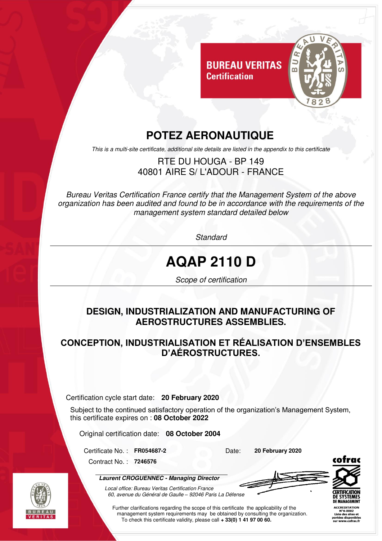

### **POTEZ AERONAUTIQUE**

This is a multi-site certificate, additional site details are listed in the appendix to this certificate

#### RTE DU HOUGA - BP 149 40801 AIRE S/ L'ADOUR - FRANCE

Bureau Veritas Certification France certify that the Management System of the above organization has been audited and found to be in accordance with the requirements of the management system standard detailed below

**Standard** 

# **AQAP 2110 D**

Scope of certification

#### **DESIGN, INDUSTRIALIZATION AND MANUFACTURING OF AEROSTRUCTURES ASSEMBLIES.**

#### **CONCEPTION, INDUSTRIALISATION ET RÉALISATION D'ENSEMBLES D'AÉROSTRUCTURES.**

Certification cycle start date: **20 February 2020** 

Subject to the continued satisfactory operation of the organization's Management System, this certificate expires on : **08 October 2022** 

Original certification date: **08 October 2004** 

Certificate No. : **FR054687-2** Date: **20 February 2020**

Contract No. : **7246576**







**Laurent CROGUENNEC - Managing Director**

Local office: Bureau Veritas Certification France 60, avenue du Général de Gaulle *–* 92046 Paris La Défense



Further clarifications regarding the scope of this certificate the applicability of the management system requirements may be obtained by consulting the organization. To check this certificate validity, please call **+ 33(0) 1 41 97 00 60.**